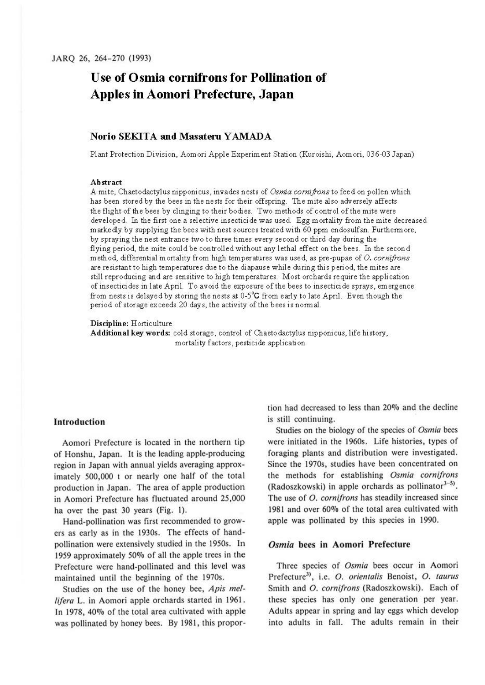# **Use of Osmia cornifrons for Pollination of Apples in Aomori Prefecture, Japan**

# **Norio SEKITA and Masatem YAMADA**

Plant Protection Division, Aomori Apple Experiment Station (Kuroishi, Aomori, 036-03 Japan)

#### **Abstract**

A mite, Chaetodactylus nipponicus, invades nests of *Osmia corni.frons* to feed on pollen which has been stored by the bees in the nests for their offspring. The mite also adversely affects the flight of the bees by clinging to their bodies. Two methods of control of the mite were developed. In the first one a selective insecticide was used. Egg mortality from the mite decreased markedly by supplying the bees with nest sources treated with 60 ppm endosulfan. Furthermore, by spraying the nest entrance two to three times every second or third day during the flying period, the mite could be controlled without any lethal effect on the bees. In the second method, differential mortality from high temperatures was used, as pre-pupae of 0. *cornifrons*  are resistant to high temperatures due to the diapause while during this period, the mites are still reproducing and are sensitive to high temperatures. Most orchards require the application of insecticides in late April. To avoid the exposure of the bees to insecticide sprays, emergence from nests is delayed by storing the nests at 0-5°C from early to late April. Even though the period of storage exceeds 20 days, the activity of the bees is normal.

#### **Discipline:** Horticulture

**Additional key words:** cold storage, control of Chaetodactylus nipponicus, life history, mortality factors, pesticide application

### **Introduction**

Aomori Prefecture is located in the northern tip of Honshu, Japan. It is the leading apple-producing region in Japan with annual yields averaging approximately 500,000 t or nearly one half of the total production in Japan. The area of apple production in Aomori Prefecture has fluctuated around 25,000 ha over the past 30 years **{Fig.** I).

Hand-pollination was first recommended to growers as early as in the 1930s. The effects of handpollination were extensively studied in the 1950s. In 1959 approximately 50% of all the apple trees in the Prefecture were hand-pollinated and this level was maintained until the beginning of the 1970s.

Studies on the use of the honey bee, *Apis* mef*lijera* L. in Aomori apple orchards started in 1961. In 1978, 40% of the total area cultivated with apple was pollinated by honey bees. By 1981, this proportion had decreased to less than 20% and the decline is still continuing.

Studies on the biology of the species of *Osmia* bees were initiated in the 1960s. Life histories, types of foraging plants and distribution were investigated. Since the 1970s, studies have been concentrated on the methods for establishing *Osmia cornijrons*  (Radoszkowski) in apple orchards as pollinator $3-5$ ). The use of *O. cornifrons* has steadily increased since 1981 and over 60% of the total area cultivated with apple was pollinated by this species in 1990.

## *Osmia* **bees in Aomori Prefecture**

Three species of *Osmia* bees occur in Aomori Prefecture3>, i.e. *0. orientalis* Benoist, *0. taurus*  Smith and *0. cornifrons* (Radoszkowski). Each of these species has only one generation per year. Adults appear in spring and lay eggs which develop into adults in fall. The adults remain in their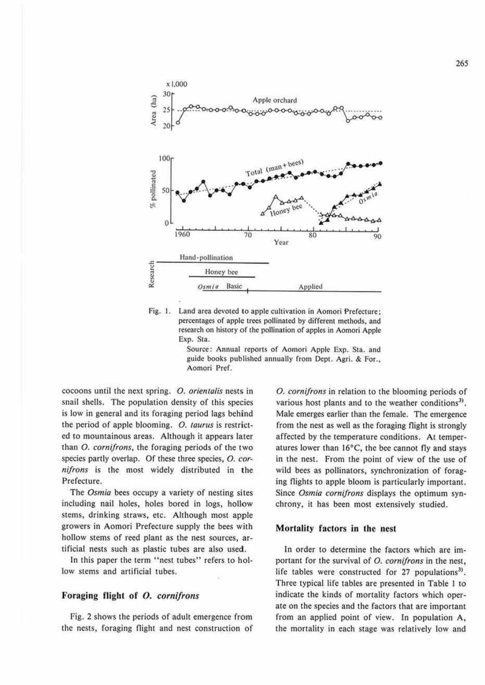

Fig. 1. Land area devoted **10** apple cultivation in Aomori Prefecture: percentages of apple trees pollinated by different methods, and research on history of the pollination of apples in Aomori Apple Exp. Sta.

Source: Annual reports of Aomori Apple Exp. Sta. and guide books published annually from Dept. Agri. & For., Aomori Pref.

cocoons until the next spring. *0. orientalis* nests in snail shells. The population density of this species is low in general and its foraging period lags behind the period of apple blooming. *0. taurus* is restricted to mountainous areas. Although it appears later than *0. cornifrons,* the foraging periods of the two species partly overlap. Of ihese three species, *0. cor-11ifro11s* is the most widely distributed in the Prefecture.

The *Osmia* bees occupy a variety of nesting sites including nail holes, holes bored in logs, hollow stems, drinking straws, etc. Although most apple growers in Aomori Prefecture supply the bees with hollow stems of reed plant as the nest sources, artificial nests such as plastic tubes are also used.

In this paper the term "nest tubes" refers to hollow stems and artificial tubes.

## Foraging flight of *0. corni/rons*

Fig. 2 shows the periods of adult emergence from the nests, foraging flight and nest construction of

*0. comijrons* in relation to the blooming periods of various host plants and to the weather conditions<sup>3)</sup>. Male emerges earlier than the female. The emergence from the nest as well as the foraging flight is strongly affected by the temperature conditions. At temperatures lower than  $16^{\circ}$ C, the bee cannot fly and stays in the nest. From the point of view of the use of wild bees as pollinators, synchronization of foraging flights to apple bloom is particularly important. Since *Osmia comijrons* displays the optimum synchrony, it has been most extensively studied.

### **Mortality factors in the nest**

In order to determine the factors which are important for the survival of *0. comijrons* in the nest, life tables were constructed for 27 populations<sup>3)</sup>. Three typical life tables are presented in Table I to indicate the kinds of mortality factors which operate on the species and the factors that are important from an applied point of view. In population A, the mortality in each stage was relatively low and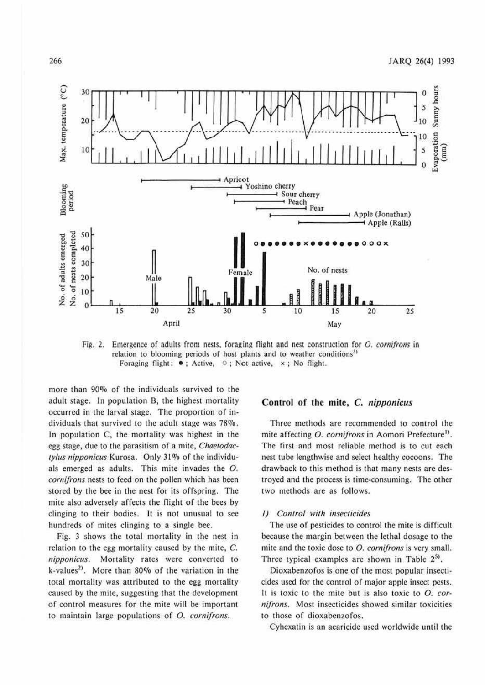

 $Fig. 2.$ Emergence of adults from nests, foraging flight and nest construction for O. cornifrons in relation to blooming periods of host plants and to weather conditions<sup>3)</sup> Foraging flight:  $\bullet$ ; Active,  $\circ$ ; Not active,  $\times$ ; No flight.

more than 90% of the individuals survived to the adult stage. In population B, the highest mortality occurred in the larval stage. The proportion of individuals that survived to the adult stage was 78%. In population C, the mortality was highest in the egg stage, due to the parasitism of a mite, Chaetodactylus nipponicus Kurosa. Only 31% of the individuals emerged as adults. This mite invades the O. cornifrons nests to feed on the pollen which has been stored by the bee in the nest for its offspring. The mite also adversely affects the flight of the bees by clinging to their bodies. It is not unusual to see hundreds of mites clinging to a single bee.

Fig. 3 shows the total mortality in the nest in relation to the egg mortality caused by the mite, C. nipponicus. Mortality rates were converted to k-values<sup>2)</sup>. More than 80% of the variation in the total mortality was attributed to the egg mortality caused by the mite, suggesting that the development of control measures for the mite will be important to maintain large populations of  $O$ . cornifrons.

# Control of the mite, C. nipponicus

Three methods are recommended to control the mite affecting O. cornifrons in Aomori Prefecture<sup>1)</sup>. The first and most reliable method is to cut each nest tube lengthwise and select healthy cocoons. The drawback to this method is that many nests are destroyed and the process is time-consuming. The other two methods are as follows.

#### 1) Control with insecticides

The use of pesticides to control the mite is difficult because the margin between the lethal dosage to the mite and the toxic dose to O. cornifrons is very small. Three typical examples are shown in Table 2<sup>5</sup>.

Dioxabenzofos is one of the most popular insecticides used for the control of major apple insect pests. It is toxic to the mite but is also toxic to  $O$ . cornifrons. Most insecticides showed similar toxicities to those of dioxabenzofos.

Cyhexatin is an acaricide used worldwide until the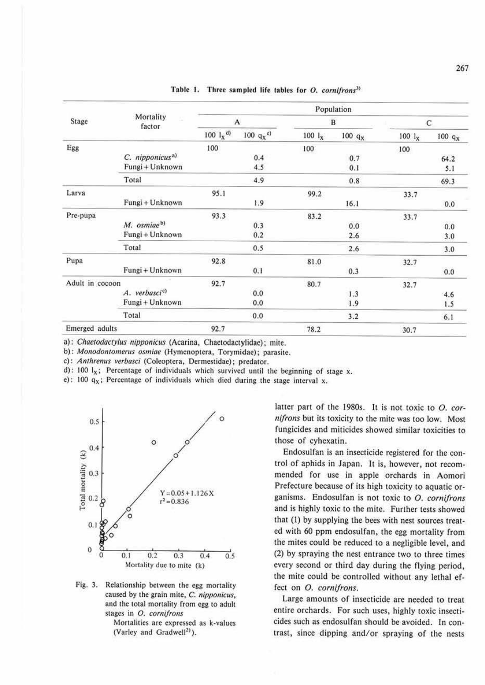| Stage           | Mortality<br>factor         | Population                      |                      |             |           |                   |           |
|-----------------|-----------------------------|---------------------------------|----------------------|-------------|-----------|-------------------|-----------|
|                 |                             | A                               |                      | B           |           | C                 |           |
|                 |                             | $100 \frac{1}{x}$ <sup>d)</sup> | 100 $q_X^{\text{e}}$ | $100$ $I_X$ | $100 q_X$ | $100 \text{ l}_x$ | $100 q_X$ |
| Egg             |                             | 100                             |                      | 100         |           | 100               |           |
|                 | C. nipponicus <sup>a)</sup> |                                 | 0.4                  |             | 0.7       |                   | 64.2      |
|                 | Fungi + Unknown             |                                 | 4.5                  |             | 0.1       |                   | 5.1       |
|                 | Total                       |                                 | 4.9                  |             | 0.8       |                   | 69.3      |
| Larva           |                             | 95.1                            |                      | 99.2        |           | 33.7              |           |
|                 | Fungi + Unknown             |                                 | 1.9                  |             | 16.1      |                   | 0.0       |
| Pre-pupa        |                             | 93.3                            |                      | 83.2        |           | 33.7              |           |
|                 | M. osmiae <sup>b)</sup>     |                                 | 0.3                  |             | 0.0       |                   | 0.0       |
|                 | Fungi + Unknown             |                                 | 0.2                  |             | 2.6       |                   | 3.0       |
|                 | Total                       |                                 | 0.5                  |             | 2.6       |                   | 3.0       |
| Pupa            |                             | 92.8                            |                      | 81.0        |           | 32.7              |           |
|                 | Fungi + Unknown             |                                 | 0.1                  |             | 0.3       |                   | 0.0       |
| Adult in cocoon |                             | 92.7                            |                      | 80.7        |           | 32.7              |           |
|                 | A. verbasci <sup>c</sup> )  |                                 | 0.0                  |             | 1.3       |                   | 4.6       |
|                 | Fungi + Unknown             |                                 | 0.0                  |             | 1.9       |                   | 1.5       |
|                 | Total                       |                                 | 0.0                  |             | 3.2       |                   | 6.1       |
| Emerged adults  |                             | 92.7                            |                      | 78.2        |           | 30.7              |           |

Table 1. Three sampled life tables for O. cornifrons<sup>3)</sup>

a): Chaetodactylus nipponicus (Acarina, Chaetodactylidae); mite.

b): Monodontomerus osmiae (Hymenoptera, Torymidae); parasite.

c): Anthrenus verbasci (Coleoptera, Dermestidae); predator.

d): 100  $I_x$ ; Percentage of individuals which survived until the beginning of stage x.

e): 100  $q_x$ ; Percentage of individuals which died during the stage interval x.



Fig. 3. Relationship between the egg mortality caused by the grain mite, C. nipponicus, and the total mortality from egg to adult stages in O. cornifrons

Mortalities are expressed as k-values (Varley and Gradwell<sup>2)</sup>).

latter part of the 1980s. It is not toxic to O. cornifrons but its toxicity to the mite was too low. Most fungicides and miticides showed similar toxicities to those of cyhexatin.

Endosulfan is an insecticide registered for the control of aphids in Japan. It is, however, not recommended for use in apple orchards in Aomori Prefecture because of its high toxicity to aquatic organisms. Endosulfan is not toxic to O. cornifrons and is highly toxic to the mite. Further tests showed that (1) by supplying the bees with nest sources treated with 60 ppm endosulfan, the egg mortality from the mites could be reduced to a negligible level, and (2) by spraying the nest entrance two to three times every second or third day during the flying period, the mite could be controlled without any lethal effect on O. cornifrons.

Large amounts of insecticide are needed to treat entire orchards. For such uses, highly toxic insecticides such as endosulfan should be avoided. In contrast, since dipping and/or spraying of the nests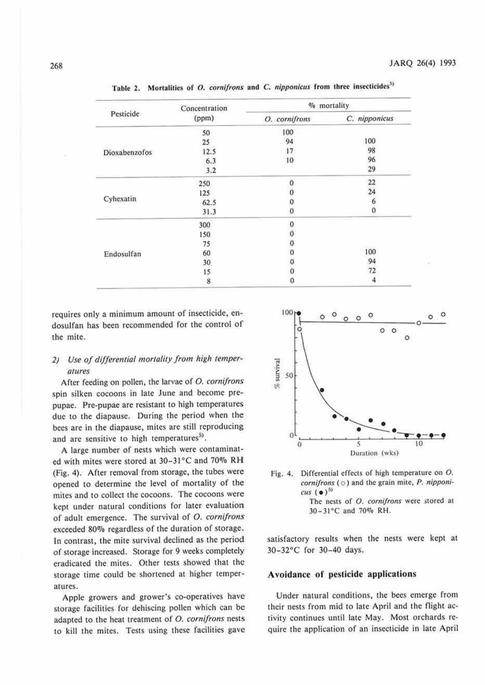|                      | Concentration | % mortality   |               |  |
|----------------------|---------------|---------------|---------------|--|
| Pesticide            | (ppm)         | O. cornifrons | C. nipponicus |  |
|                      | 50            | 100           |               |  |
|                      | 25            | 94            | 100           |  |
| <b>Dioxabenzofos</b> | 12.5          | 17            | 98            |  |
|                      | 6.3           | 10            | 96            |  |
|                      | 3.2           |               | 29            |  |
|                      | 250           | $\Omega$      | 22            |  |
|                      | 125           | 0             | 24            |  |
| Cyhexatin            | 62.5          | ō             | 6             |  |
|                      | 31.3          | 0             | 0             |  |
|                      | 300           |               |               |  |
|                      | 150           |               |               |  |
|                      | 75            |               |               |  |
| Endosulfan           | 60            | 000000        | 100           |  |
|                      | 30            |               | 94            |  |
|                      | 15            |               | 72            |  |
|                      | 8             | 0             | 4             |  |

Table 2. Mortalities of O. *cornifrons* and C. *nipponicus* from three insecticides<sup>51</sup>

requires only a minimum amount of insecticide, endosulfan has been recommended for the control of the mite.

# *2) Use of differential mortality from high temperlllures*

After feeding on pollen, the larvae of *0. cornifrons*  spin silken cocoons in late June and become prepupae. Pre-pupae are resistant to high temperatures due to the diapause. During the period when the bees are in the diapause, mites are still reproducing and are sensitive to high temperatures<sup>5)</sup>.

A large number of nests which were contaminated with mites were stored at 30-31°C and 70% RH (Fig. 4). After removal from storage, the tubes were opened to determine the level of mortality of the mites and to collect the cocoons. The cocoons were kept under natural conditions for later evaluation of adult emergence. The survival of *0. cornifrons*  exceeded 80% regardless of the duration of storage. In contrast, the mite survival declined as the period of storage increased. Storage for 9 weeks completely eradicated the mites. Other tests showed that the storage time could be shortened at higher temperatures.

Apple growers and grower's co-operatives have storage facilities for dehiscing pollen which can be adapted to the heat treatment of *0 . comifrons* nests 10 kill the mites. Tests using these facilities gave



Fig. 4. Differential effects of high temperature on O. *cornifrons* ( $\circ$ ) and the grain mite, P. *nipponi* $cus (•)<sup>51</sup>$ The nests of O. cornifrons were stored at 30-31°C and 70% RH.

satisfactory results when the nests were kept at 30-32°C for 30-40 days.

# Avoidance of pesticide applications

Under natural conditions, the bees emerge from their nests from mid to late April and the flight activity continues until late May. Most orchards require the application of an insecticide in late April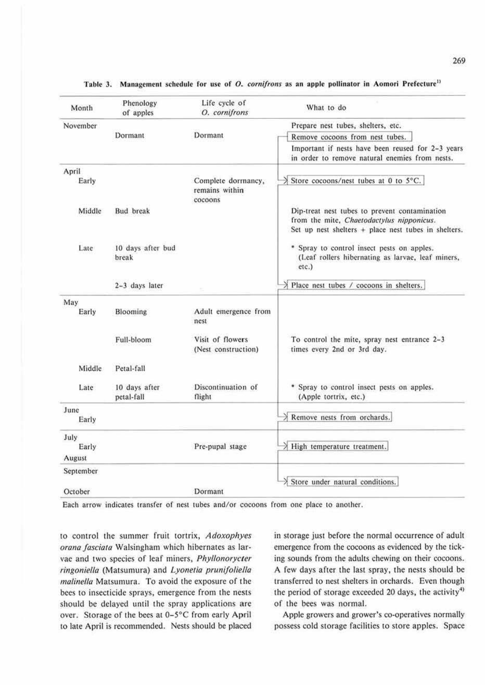| Month     | Phenology<br>of apples      | Life cycle of<br>O. cornifrons                  | What to do                                                                                                                                           |
|-----------|-----------------------------|-------------------------------------------------|------------------------------------------------------------------------------------------------------------------------------------------------------|
| November  |                             |                                                 | Prepare nest tubes, shelters, etc.                                                                                                                   |
|           | Dormant                     | Dormant                                         | Remove cocoons from nest tubes.                                                                                                                      |
|           |                             |                                                 | Important if nests have been reused for 2-3 years<br>in order to remove natural enemies from nests.                                                  |
| April     |                             |                                                 |                                                                                                                                                      |
| Early     |                             | Complete dormancy,<br>remains within<br>cocoons | Store cocoons/nest tubes at 0 to 5°C.                                                                                                                |
| Middle    | <b>Bud</b> break            |                                                 | Dip-treat nest tubes to prevent contamination<br>from the mite, Chaetodactylus nipponicus.<br>Set up nest shelters $+$ place nest tubes in shelters. |
| Late      | 10 days after bud<br>break  |                                                 | * Spray to control insect pests on apples.<br>(Leaf rollers hibernating as larvae, leaf miners,<br>$etc.$ )                                          |
|           | 2-3 days later              |                                                 | > Place nest tubes / cocoons in shelters.                                                                                                            |
| May       |                             |                                                 |                                                                                                                                                      |
| Early     | Blooming                    | Adult emergence from<br>nest                    |                                                                                                                                                      |
|           | Full-bloom                  | Visit of flowers<br>(Nest construction)         | To control the mite, spray nest entrance 2-3<br>times every 2nd or 3rd day.                                                                          |
| Middle    | Petal-fall                  |                                                 |                                                                                                                                                      |
| Late      | 10 days after<br>petal-fall | Discontinuation of<br>flight                    | * Spray to control insect pests on apples.<br>(Apple tortrix, etc.)                                                                                  |
| June      |                             |                                                 |                                                                                                                                                      |
| Early     |                             |                                                 | $\geq$ Remove nests from orchards.                                                                                                                   |
| July      |                             |                                                 |                                                                                                                                                      |
| Early     |                             | Pre-pupal stage                                 | $\lambda$ High temperature treatment.                                                                                                                |
| August    |                             |                                                 |                                                                                                                                                      |
| September |                             |                                                 |                                                                                                                                                      |
| October   |                             | Dormant                                         | $\lambda$ Store under natural conditions.                                                                                                            |

# Table 3. Management schedule for use of O. cornifrons as an apple pollinator in Aomori Prefecture<sup>11</sup>

Each arrow indicates transfer of nest cubes and/or cocoons from one place to another.

10 control the summer fruit tonrix, *Adoxophyes orana fasciara* Walsingham which hibernates as larvae and two species of leaf miners, *Phyllonorycter*   $ringoniella$  (Matsumura) and *Lyonetia prunifoliella maline/la* Matsumura. To avoid the exposure of the bees to insecticide sprays, emergence from the nests should be delayed until the spray applications are over. Storage of the bees at 0-5°C from early April to late April is recommended. Nests should be placed in storage just before the normal occurrence of adult emergence from the cocoons as evidenced by the ticking sounds from the adults chewing on their cocoons. A few days after the last spray, the nests should be transferred to nest shelters in orchards. Even though the period of storage exceeded 20 days, the activity<sup>4)</sup> of the bees was normal.

Apple growers and grower's co-operatives normally possess cold storage facilities to store apples. Space